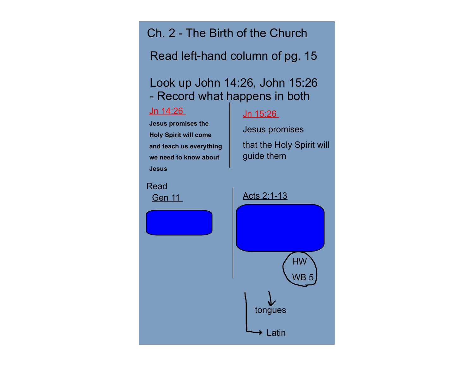Ch. 2 - The Birth of the Church

Read left-hand column of pg. 15

## Look up John 14:26, John 15:26 - Record what happens in both

## Jn 14:26

## Jn 15:26

**Jesus promises the Holy Spirit will come and teach us everything we need to know about Jesus**

Jesus promises that the Holy Spirit will guide them

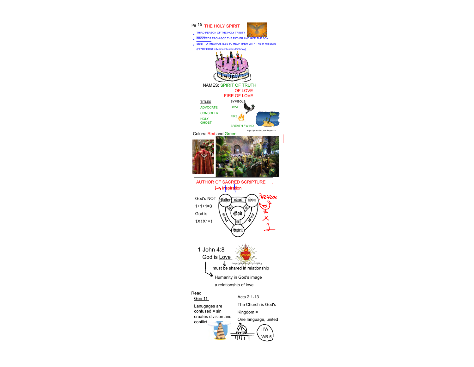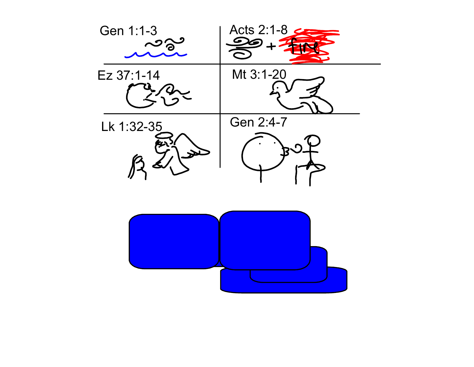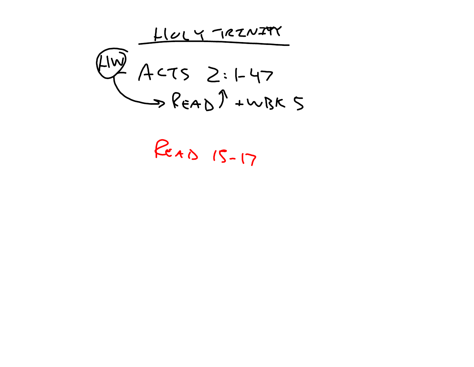$\begin{array}{r}\n\begin{array}{r}\n\sqrt{1100} & \sqrt{162N291} \\
\hline\n\end{array} \\
\begin{array}{r}\n\sqrt{1100} & \sqrt{1625} \\
\hline\n\end{array} \\
\begin{array}{r}\n\sqrt{1625} & \sqrt{1625} \\
\hline\n\end{array} \\
\begin{array}{r}\n\sqrt{1625} & \sqrt{1625} \\
\hline\n\end{array} \\
\begin{array}{r}\n\sqrt{1625} & \sqrt{1625} \\
\hline\n\end{array} \\
\begin{array}{r}\n\sqrt{1625} & \sqrt{1625} \\
\hline$ 

ReAD 15-17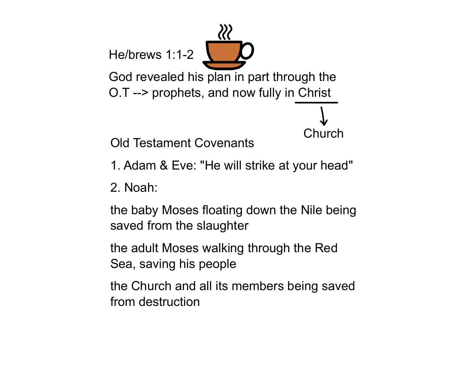He/brews 1:1-2 God revealed his plan in part through the O.T --> prophets, and now fully in Christ

**Church** 

Old Testament Covenants

1. Adam & Eve: "He will strike at your head"

2. Noah:

the baby Moses floating down the Nile being saved from the slaughter

the adult Moses walking through the Red Sea, saving his people

the Church and all its members being saved from destruction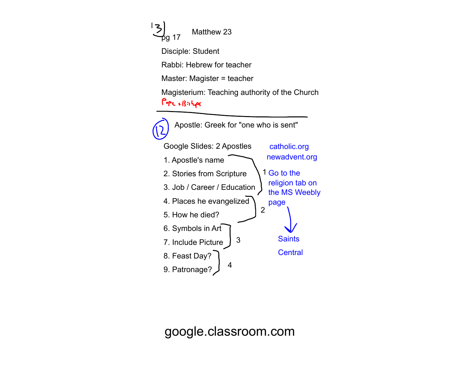Matthew 23 pg 17 Disciple: Student Rabbi: Hebrew for teacher Master: Magister = teacher Magisterium: Teaching authority of the Church  $PerR$  +  $B$ :  $H_{e}$ Apostle: Greek for "one who is sent" Google Slides: 2 Apostles catholic.org newadvent.org 1. Apostle's name 1 Go to the 2. Stories from Scripture religion tab on 3. Job / Career / Education the MS Weebly 4. Places he evangelized page 2 5. How he died? 6. Symbols in Art **Saints** 3 7. Include Picture **Central** 8. Feast Day? 4 9. Patronage?

l

google.classroom.com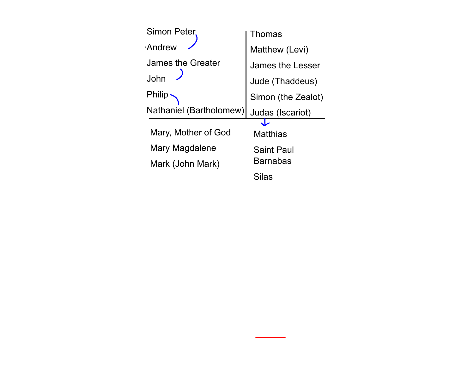| Simon Peter             | Thomas             |
|-------------------------|--------------------|
| <b>Andrew</b>           | Matthew (Levi)     |
| James the Greater       | James the Lesser   |
| John                    | Jude (Thaddeus)    |
| <b>Philip</b>           | Simon (the Zealot) |
| Nathaniel (Bartholomew) | Judas (Iscariot)   |
| Mary, Mother of God     | <b>Matthias</b>    |
| Mary Magdalene          | <b>Saint Paul</b>  |
| Mark (John Mark)        | <b>Barnabas</b>    |
|                         | <b>Silas</b>       |